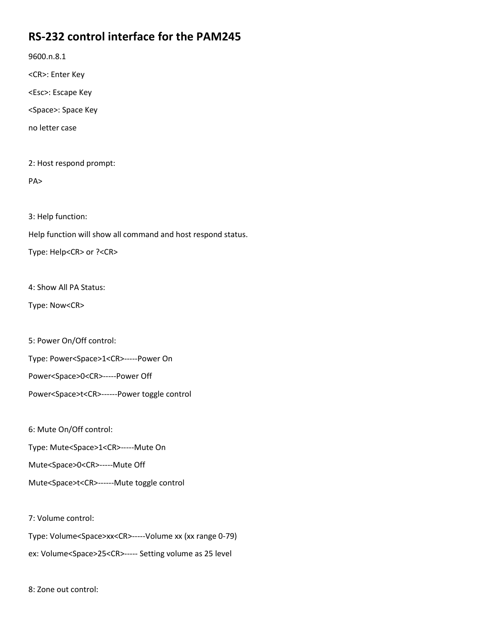## **RS-232 control interface for the PAM245**

9600.n.8.1

<CR>: Enter Key

<Esc>: Escape Key

<Space>: Space Key

no letter case

2: Host respond prompt:

PA>

3: Help function:

Help function will show all command and host respond status.

Type: Help<CR> or ?<CR>

4: Show All PA Status:

Type: Now<CR>

5: Power On/Off control:

Type: Power<Space>1<CR>-----Power On

Power<Space>0<CR>-----Power Off

Power<Space>t<CR>------Power toggle control

6: Mute On/Off control:

Type: Mute<Space>1<CR>-----Mute On

Mute<Space>0<CR>-----Mute Off

Mute<Space>t<CR>------Mute toggle control

7: Volume control:

Type: Volume<Space>xx<CR>-----Volume xx (xx range 0-79)

ex: Volume<Space>25<CR>----- Setting volume as 25 level

8: Zone out control: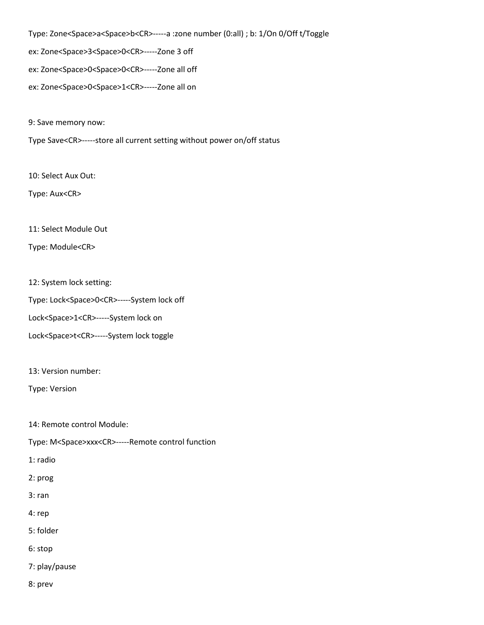Type: Zone<Space>a<Space>b<CR>-----a :zone number (0:all) ; b: 1/On 0/Off t/Toggle ex: Zone<Space>3<Space>0<CR>-----Zone 3 off ex: Zone<Space>0<Space>0<CR>-----Zone all off ex: Zone<Space>0<Space>1<CR>-----Zone all on

9: Save memory now:

Type Save<CR>-----store all current setting without power on/off status

10: Select Aux Out:

Type: Aux<CR>

11: Select Module Out

Type: Module<CR>

12: System lock setting:

Type: Lock<Space>0<CR>-----System lock off

Lock<Space>1<CR>-----System lock on

Lock<Space>t<CR>-----System lock toggle

13: Version number:

Type: Version

14: Remote control Module:

Type: M<Space>xxx<CR>-----Remote control function

1: radio

2: prog

3: ran

4: rep

5: folder

6: stop

7: play/pause

8: prev